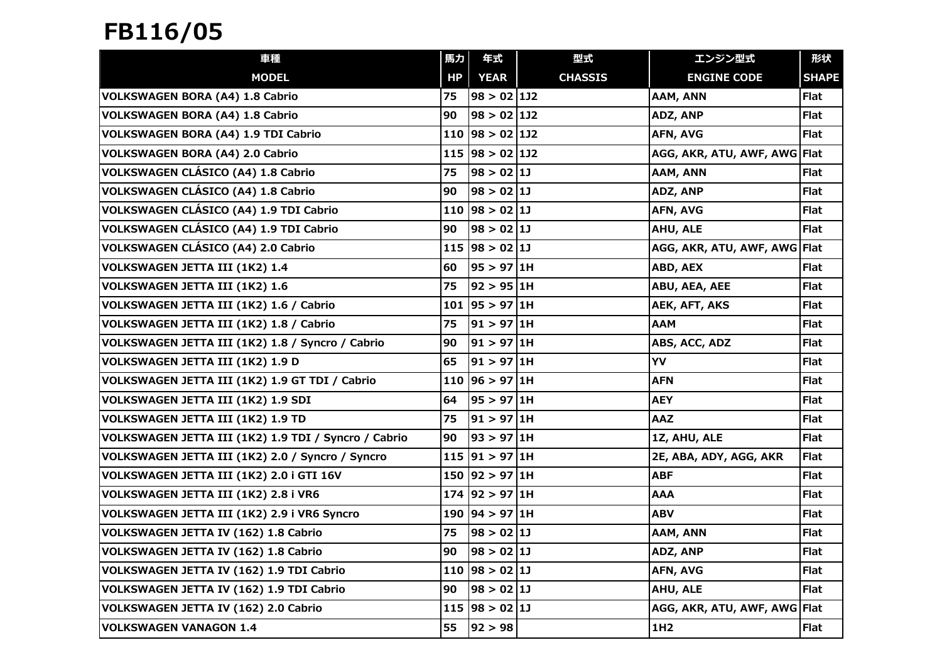## FB116/05

| 車種                                                   | 馬力 | 年式                    | 型式             | エンジン型式                       | 形状           |
|------------------------------------------------------|----|-----------------------|----------------|------------------------------|--------------|
| <b>MODEL</b>                                         | HP | <b>YEAR</b>           | <b>CHASSIS</b> | <b>ENGINE CODE</b>           | <b>SHAPE</b> |
| <b>VOLKSWAGEN BORA (A4) 1.8 Cabrio</b>               | 75 | $98 > 02$ 1J2         |                | AAM, ANN                     | Flat         |
| <b>VOLKSWAGEN BORA (A4) 1.8 Cabrio</b>               | 90 | $98 > 02$ 1J2         |                | ADZ, ANP                     | <b>Flat</b>  |
| VOLKSWAGEN BORA (A4) 1.9 TDI Cabrio                  |    | 110   $98 > 02$   1J2 |                | AFN, AVG                     | <b>Flat</b>  |
| <b>VOLKSWAGEN BORA (A4) 2.0 Cabrio</b>               |    | 115   $98 > 02$   1J2 |                | AGG, AKR, ATU, AWF, AWG Flat |              |
| VOLKSWAGEN CLÁSICO (A4) 1.8 Cabrio                   | 75 | 98 > 02 11            |                | AAM, ANN                     | <b>Flat</b>  |
| VOLKSWAGEN CLÁSICO (A4) 1.8 Cabrio                   | 90 | $98 > 02$ 1J          |                | ADZ, ANP                     | <b>Flat</b>  |
| VOLKSWAGEN CLÁSICO (A4) 1.9 TDI Cabrio               |    | 110  98 > 02  11      |                | AFN, AVG                     | <b>Flat</b>  |
| VOLKSWAGEN CLÁSICO (A4) 1.9 TDI Cabrio               | 90 | $98 > 02$ 1J          |                | <b>AHU, ALE</b>              | <b>Flat</b>  |
| VOLKSWAGEN CLÁSICO (A4) 2.0 Cabrio                   |    | 115   98 > 02   11    |                | AGG, AKR, ATU, AWF, AWG Flat |              |
| VOLKSWAGEN JETTA III (1K2) 1.4                       | 60 | 95 > 97 1H            |                | ABD, AEX                     | <b>Flat</b>  |
| VOLKSWAGEN JETTA III (1K2) 1.6                       | 75 | 92 > 95 1H            |                | ABU, AEA, AEE                | <b>Flat</b>  |
| VOLKSWAGEN JETTA III (1K2) 1.6 / Cabrio              |    | 101   95 > 97   1H    |                | <b>AEK, AFT, AKS</b>         | <b>Flat</b>  |
| VOLKSWAGEN JETTA III (1K2) 1.8 / Cabrio              | 75 | 91 > 97 1H            |                | <b>AAM</b>                   | <b>Flat</b>  |
| VOLKSWAGEN JETTA III (1K2) 1.8 / Syncro / Cabrio     | 90 | 91 > 97 1H            |                | ABS, ACC, ADZ                | <b>Flat</b>  |
| VOLKSWAGEN JETTA III (1K2) 1.9 D                     | 65 | $91 > 97$ 1H          |                | YV                           | <b>Flat</b>  |
| VOLKSWAGEN JETTA III (1K2) 1.9 GT TDI / Cabrio       |    | 110   96 > 97   1H    |                | <b>AFN</b>                   | <b>Flat</b>  |
| VOLKSWAGEN JETTA III (1K2) 1.9 SDI                   | 64 | 95 > 97 1H            |                | <b>AEY</b>                   | <b>Flat</b>  |
| VOLKSWAGEN JETTA III (1K2) 1.9 TD                    | 75 | $ 91 \rangle 97 1H$   |                | <b>AAZ</b>                   | <b>Flat</b>  |
| VOLKSWAGEN JETTA III (1K2) 1.9 TDI / Syncro / Cabrio | 90 | 93 > 97   1H          |                | 1Z, AHU, ALE                 | Flat         |
| VOLKSWAGEN JETTA III (1K2) 2.0 / Syncro / Syncro     |    | 115 91 > 97 1H        |                | 2E, ABA, ADY, AGG, AKR       | <b>Flat</b>  |
| VOLKSWAGEN JETTA III (1K2) 2.0 i GTI 16V             |    | 150 92 > 97 1H        |                | <b>ABF</b>                   | <b>Flat</b>  |
| VOLKSWAGEN JETTA III (1K2) 2.8 i VR6                 |    | 174 92 > 97 1H        |                | <b>AAA</b>                   | <b>Flat</b>  |
| VOLKSWAGEN JETTA III (1K2) 2.9 i VR6 Syncro          |    | 190   94 > 97   1H    |                | <b>ABV</b>                   | <b>Flat</b>  |
| VOLKSWAGEN JETTA IV (162) 1.8 Cabrio                 | 75 | 98 > 02 11            |                | AAM, ANN                     | <b>Flat</b>  |
| VOLKSWAGEN JETTA IV (162) 1.8 Cabrio                 | 90 | 98 > 02 11            |                | ADZ, ANP                     | <b>Flat</b>  |
| VOLKSWAGEN JETTA IV (162) 1.9 TDI Cabrio             |    | 110  98 > 02  1       |                | <b>AFN, AVG</b>              | <b>Flat</b>  |
| VOLKSWAGEN JETTA IV (162) 1.9 TDI Cabrio             | 90 | 98 > 02   1J          |                | AHU, ALE                     | <b>Flat</b>  |
| VOLKSWAGEN JETTA IV (162) 2.0 Cabrio                 |    | 115   $98 > 02$   1J  |                | AGG, AKR, ATU, AWF, AWG Flat |              |
| <b>VOLKSWAGEN VANAGON 1.4</b>                        | 55 | 92 > 98               |                | 1H <sub>2</sub>              | <b>Flat</b>  |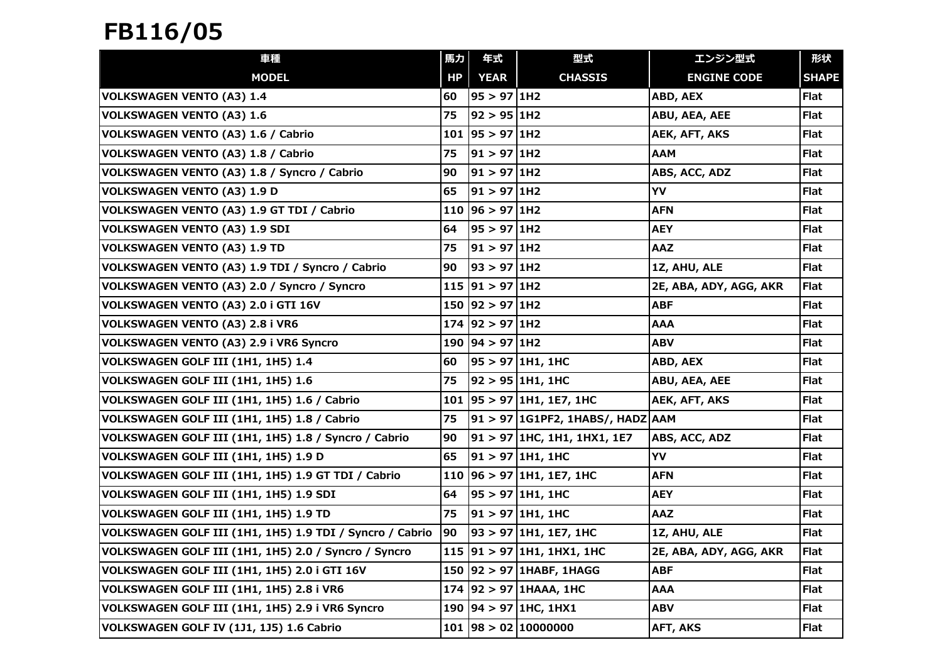## FB116/05

| 車種                                                       | 馬力  | 年式                  | 型式                                   | エンジン型式                 | 形状           |
|----------------------------------------------------------|-----|---------------------|--------------------------------------|------------------------|--------------|
| <b>MODEL</b>                                             | HP  | <b>YEAR</b>         | <b>CHASSIS</b>                       | <b>ENGINE CODE</b>     | <b>SHAPE</b> |
| <b>VOLKSWAGEN VENTO (A3) 1.4</b>                         | 60  | 95 > 97 1H2         |                                      | ABD, AEX               | Flat         |
| <b>VOLKSWAGEN VENTO (A3) 1.6</b>                         | 75  | 92 > 95 1H2         |                                      | ABU, AEA, AEE          | Flat         |
| VOLKSWAGEN VENTO (A3) 1.6 / Cabrio                       | 101 | 95 > 97 1H2         |                                      | AEK, AFT, AKS          | Flat         |
| VOLKSWAGEN VENTO (A3) 1.8 / Cabrio                       | 75  | 91 > 97 1H2         |                                      | AAM                    | <b>Flat</b>  |
| VOLKSWAGEN VENTO (A3) 1.8 / Syncro / Cabrio              | 90  | 91 > 97 1H2         |                                      | ABS, ACC, ADZ          | <b>Flat</b>  |
| <b>VOLKSWAGEN VENTO (A3) 1.9 D</b>                       | 65  | 91 > 97 1H2         |                                      | YV                     | <b>Flat</b>  |
| VOLKSWAGEN VENTO (A3) 1.9 GT TDI / Cabrio                | 110 | 96 > 97   1H2       |                                      | AFN                    | <b>Flat</b>  |
| <b>VOLKSWAGEN VENTO (A3) 1.9 SDI</b>                     | 64  | 95 > 97 1H2         |                                      | AEY                    | Flat         |
| <b>VOLKSWAGEN VENTO (A3) 1.9 TD</b>                      | 75  | 91 > 97 1H2         |                                      | AAZ                    | <b>Flat</b>  |
| VOLKSWAGEN VENTO (A3) 1.9 TDI / Syncro / Cabrio          | 90  | 93 > 97 1H2         |                                      | 1Z, AHU, ALE           | <b>Flat</b>  |
| VOLKSWAGEN VENTO (A3) 2.0 / Syncro / Syncro              |     | 115 91 > 97 1H2     |                                      | 2E, ABA, ADY, AGG, AKR | Flat         |
| VOLKSWAGEN VENTO (A3) 2.0 i GTI 16V                      |     | $150$ 92 > 97 1H2   |                                      | ABF                    | <b>Flat</b>  |
| VOLKSWAGEN VENTO (A3) 2.8 i VR6                          |     | 174 92 > 97 1H2     |                                      | <b>AAA</b>             | <b>Flat</b>  |
| VOLKSWAGEN VENTO (A3) 2.9 i VR6 Syncro                   |     | 190   94 > 97   1H2 |                                      | ABV                    | <b>Flat</b>  |
| VOLKSWAGEN GOLF III (1H1, 1H5) 1.4                       | 60  |                     | 95 > 97 1H1, 1HC                     | ABD, AEX               | Flat         |
| VOLKSWAGEN GOLF III (1H1, 1H5) 1.6                       | 75  |                     | 92 > 95 1H1, 1HC                     | ABU, AEA, AEE          | Flat         |
| VOLKSWAGEN GOLF III (1H1, 1H5) 1.6 / Cabrio              |     |                     | 101 95 > 97 1H1, 1E7, 1HC            | AEK, AFT, AKS          | <b>Flat</b>  |
| VOLKSWAGEN GOLF III (1H1, 1H5) 1.8 / Cabrio              | 75  |                     | 91 > 97   1G1PF2, 1HABS/, HADZ   AAM |                        | Flat         |
| VOLKSWAGEN GOLF III (1H1, 1H5) 1.8 / Syncro / Cabrio     | 90  |                     | 91 > 97 1HC, 1H1, 1HX1, 1E7          | ABS, ACC, ADZ          | <b>Flat</b>  |
| VOLKSWAGEN GOLF III (1H1, 1H5) 1.9 D                     | 65  |                     | $ 91 \rangle 97 1H1, 1H0$            | YV                     | <b>Flat</b>  |
| VOLKSWAGEN GOLF III (1H1, 1H5) 1.9 GT TDI / Cabrio       | 110 |                     | 96 > 97 1H1, 1E7, 1H0                | AFN                    | <b>Flat</b>  |
| VOLKSWAGEN GOLF III (1H1, 1H5) 1.9 SDI                   | 64  |                     | 95 > 97 1H1, 1HC                     | <b>AEY</b>             | Flat         |
| VOLKSWAGEN GOLF III (1H1, 1H5) 1.9 TD                    | 75  |                     | $ 91 $ > 97 1H1, 1HC                 | AAZ                    | Flat         |
| VOLKSWAGEN GOLF III (1H1, 1H5) 1.9 TDI / Syncro / Cabrio | 90  |                     | $93 > 97$ 1H1, 1E7, 1HC              | 1Z, AHU, ALE           | <b>Flat</b>  |
| VOLKSWAGEN GOLF III (1H1, 1H5) 2.0 / Syncro / Syncro     |     |                     | 115 91 > 97 1H1, 1HX1, 1HC           | 2E, ABA, ADY, AGG, AKR | Flat         |
| VOLKSWAGEN GOLF III (1H1, 1H5) 2.0 i GTI 16V             | 150 |                     | $ 92 $ > 97 1HABF, 1HAGG             | ABF                    | <b>Flat</b>  |
| VOLKSWAGEN GOLF III (1H1, 1H5) 2.8 i VR6                 |     |                     | $174$  92 > 97   1HAAA, 1HC          | AAA                    | Flat         |
| VOLKSWAGEN GOLF III (1H1, 1H5) 2.9 i VR6 Syncro          |     |                     | 190   94 > 97   1HC, 1HX1            | ABV                    | Flat         |
| VOLKSWAGEN GOLF IV (1J1, 1J5) 1.6 Cabrio                 |     |                     | $101$  98 > 02  10000000             | <b>AFT, AKS</b>        | <b>Flat</b>  |